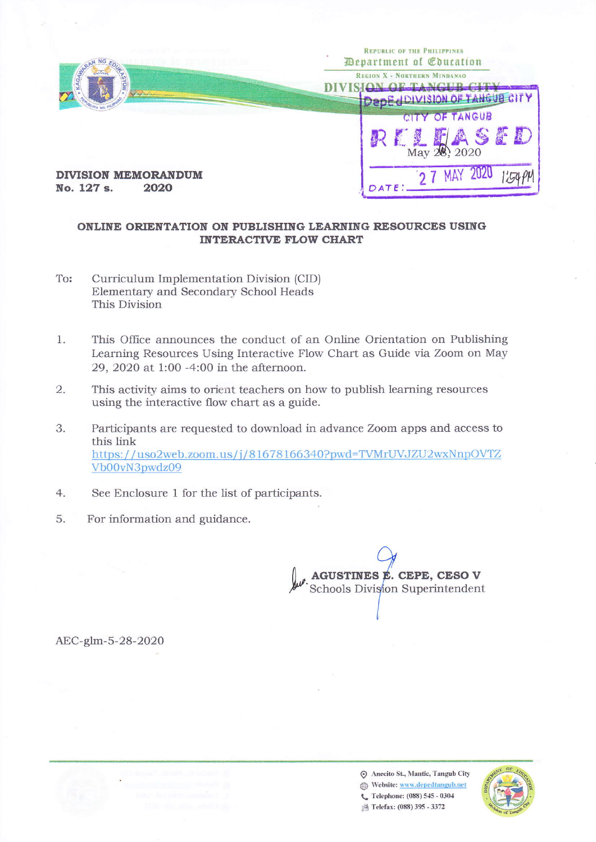

## ONLINE ORIENTATION ON PUBLISHING LEARNING RESOURCES USING **INTERACTIVE FLOW CHART**

- To: Curriculum Implementation Division (CID) Elementary and Secondary School Heads This Division
- This Office announces the conduct of an Online Orientation on Publishing 1. Learning Resources Using Interactive Flow Chart as Guide via Zoom on May 29, 2020 at 1:00 -4:00 in the afternoon.
- $\overline{2}$ . This activity aims to orient teachers on how to publish learning resources using the interactive flow chart as a guide.
- 3. Participants are requested to download in advance Zoom apps and access to this link https://uso2web.zoom.us/j/81678166340?pwd=TVMrUVJZU2wxNnpOVTZ Vb00vN3pwdz09
- $4.$ See Enclosure 1 for the list of participants.
- 5. For information and guidance.

AGUSTINES É. CEPE, CESO V Schools Division Superintendent

AEC-glm-5-28-2020



Anecito St., Mantic, Tangub City Website: www.depedtangub.net C Telephone: (088) 545 - 0304 凸 Telefax: (088) 395 - 3372